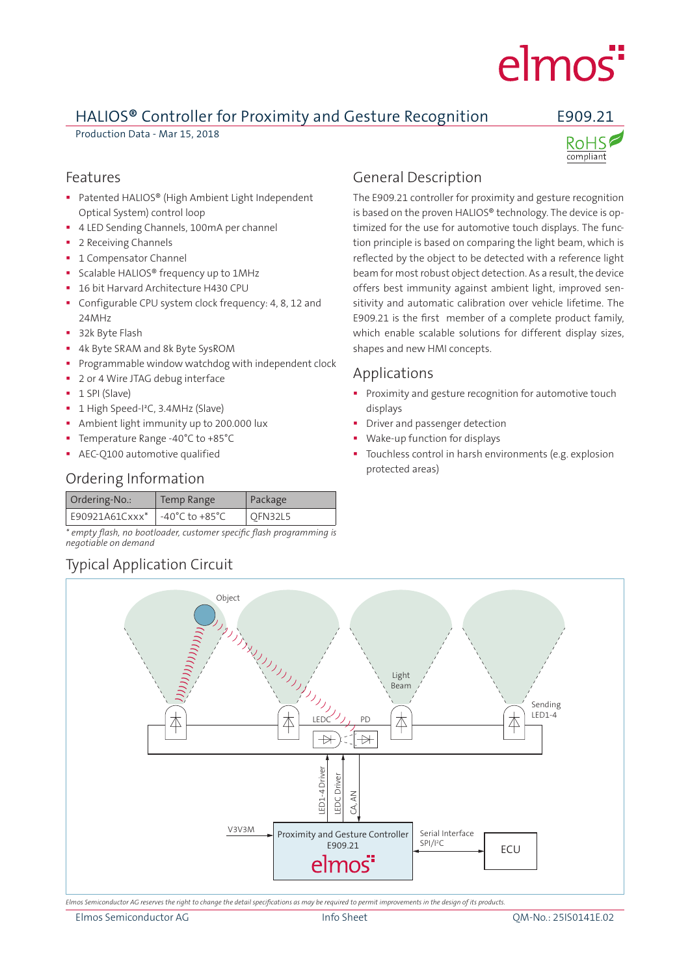# elmos<sup>"</sup>

# HALIOS**®** Controller for Proximity and Gesture Recognition E909.21

Production Data - Mar 15, 2018



### Features

- Patented HALIOS® (High Ambient Light Independent Optical System) control loop
- 4 LED Sending Channels, 100mA per channel
- 2 Receiving Channels
- **1 Compensator Channel**
- **Scalable HALIOS®** frequency up to 1MHz
- 16 bit Harvard Architecture H430 CPU
- Configurable CPU system clock frequency: 4, 8, 12 and 24MHz
- 32k Byte Flash
- 4k Byte SRAM and 8k Byte SysROM
- Programmable window watchdog with independent clock
- 2 or 4 Wire JTAG debug interface
- $-1$  SPI (Slave)
- <sup>■</sup> 1 High Speed-I<sup>2</sup>C, 3.4MHz (Slave)
- **Ambient light immunity up to 200.000 lux**
- Temperature Range -40°C to +85°C
- **AEC-O100 automotive qualified**

# Ordering Information

| Ordering-No.:  | Temp Range                         | Package |
|----------------|------------------------------------|---------|
| E90921A61Cxxx* | $-40^{\circ}$ C to $+85^{\circ}$ C | OFN32L5 |

*\* empty flash, no bootloader, customer specific flash programming is negotiable on demand*

# Typical Application Circuit

# General Description

The E909.21 controller for proximity and gesture recognition is based on the proven HALIOS® technology. The device is optimized for the use for automotive touch displays. The function principle is based on comparing the light beam, which is reflected by the object to be detected with a reference light beam for most robust object detection. As a result, the device offers best immunity against ambient light, improved sensitivity and automatic calibration over vehicle lifetime. The E909.21 is the first member of a complete product family, which enable scalable solutions for different display sizes, shapes and new HMI concepts.

# Applications

- **Proximity and gesture recognition for automotive touch** displays
- **•** Driver and passenger detection
- Wake-up function for displays
- Touchless control in harsh environments (e.g. explosion protected areas)



*Elmos Semiconductor AG reserves the right to change the detail specifications as may be required to permit improvements in the design of its products.*